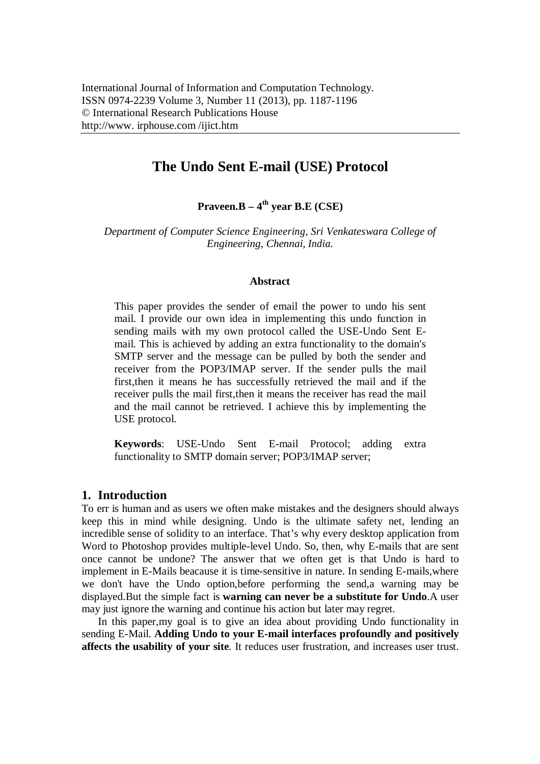# **The Undo Sent E-mail (USE) Protocol**

**Praveen.B – 4 th year B.E (CSE)**

*Department of Computer Science Engineering, Sri Venkateswara College of Engineering, Chennai, India.*

#### **Abstract**

This paper provides the sender of email the power to undo his sent mail. I provide our own idea in implementing this undo function in sending mails with my own protocol called the USE-Undo Sent Email. This is achieved by adding an extra functionality to the domain's SMTP server and the message can be pulled by both the sender and receiver from the POP3/IMAP server. If the sender pulls the mail first,then it means he has successfully retrieved the mail and if the receiver pulls the mail first,then it means the receiver has read the mail and the mail cannot be retrieved. I achieve this by implementing the USE protocol.

**Keywords**: USE-Undo Sent E-mail Protocol; adding extra functionality to SMTP domain server; POP3/IMAP server;

### **1. Introduction**

To err is human and as users we often make mistakes and the designers should always keep this in mind while designing. Undo is the ultimate safety net, lending an incredible sense of solidity to an interface. That's why every desktop application from Word to Photoshop provides multiple-level Undo. So, then, why E-mails that are sent once cannot be undone? The answer that we often get is that Undo is hard to implement in E-Mails beacause it is time-sensitive in nature. In sending E-mails,where we don't have the Undo option,before performing the send,a warning may be displayed.But the simple fact is **warning can never be a substitute for Undo**.A user may just ignore the warning and continue his action but later may regret.

In this paper,my goal is to give an idea about providing Undo functionality in sending E-Mail. **Adding Undo to your E-mail interfaces profoundly and positively affects the usability of your site**. It reduces user frustration, and increases user trust.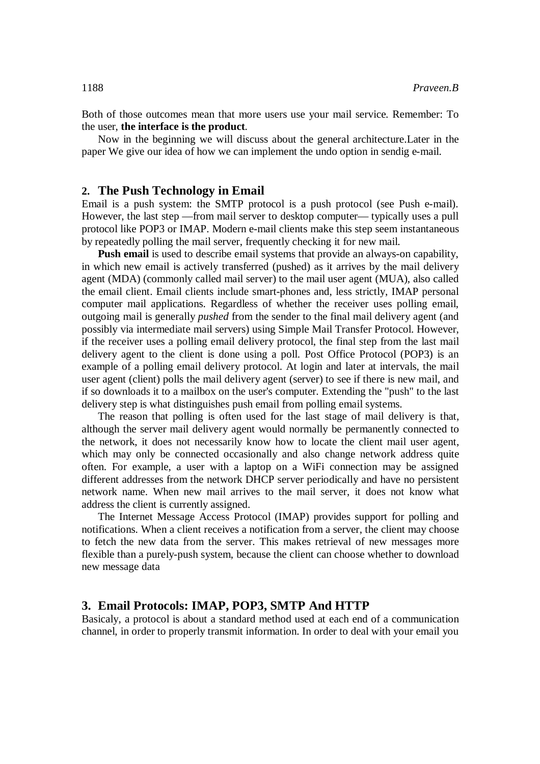Both of those outcomes mean that more users use your mail service. Remember: To the user, **the interface is the product**.

Now in the beginning we will discuss about the general architecture.Later in the paper We give our idea of how we can implement the undo option in sendig e-mail.

### **2. The Push Technology in Email**

Email is a push system: the SMTP protocol is a push protocol (see Push e-mail). However, the last step —from mail server to desktop computer— typically uses a pull protocol like POP3 or IMAP. Modern e-mail clients make this step seem instantaneous by repeatedly polling the mail server, frequently checking it for new mail.

**Push email** is used to describe email systems that provide an always-on capability, in which new email is actively transferred (pushed) as it arrives by the mail delivery agent (MDA) (commonly called mail server) to the mail user agent (MUA), also called the email client. Email clients include smart-phones and, less strictly, IMAP personal computer mail applications. Regardless of whether the receiver uses polling email, outgoing mail is generally *pushed* from the sender to the final mail delivery agent (and possibly via intermediate mail servers) using Simple Mail Transfer Protocol. However, if the receiver uses a polling email delivery protocol, the final step from the last mail delivery agent to the client is done using a poll. Post Office Protocol (POP3) is an example of a polling email delivery protocol. At login and later at intervals, the mail user agent (client) polls the mail delivery agent (server) to see if there is new mail, and if so downloads it to a mailbox on the user's computer. Extending the "push" to the last delivery step is what distinguishes push email from polling email systems.

The reason that polling is often used for the last stage of mail delivery is that, although the server mail delivery agent would normally be permanently connected to the network, it does not necessarily know how to locate the client mail user agent, which may only be connected occasionally and also change network address quite often. For example, a user with a laptop on a WiFi connection may be assigned different addresses from the network DHCP server periodically and have no persistent network name. When new mail arrives to the mail server, it does not know what address the client is currently assigned.

The Internet Message Access Protocol (IMAP) provides support for polling and notifications. When a client receives a notification from a server, the client may choose to fetch the new data from the server. This makes retrieval of new messages more flexible than a purely-push system, because the client can choose whether to download new message data

### **3. Email Protocols: IMAP, POP3, SMTP And HTTP**

Basicaly, a protocol is about a standard method used at each end of a communication channel, in order to properly transmit information. In order to deal with your email you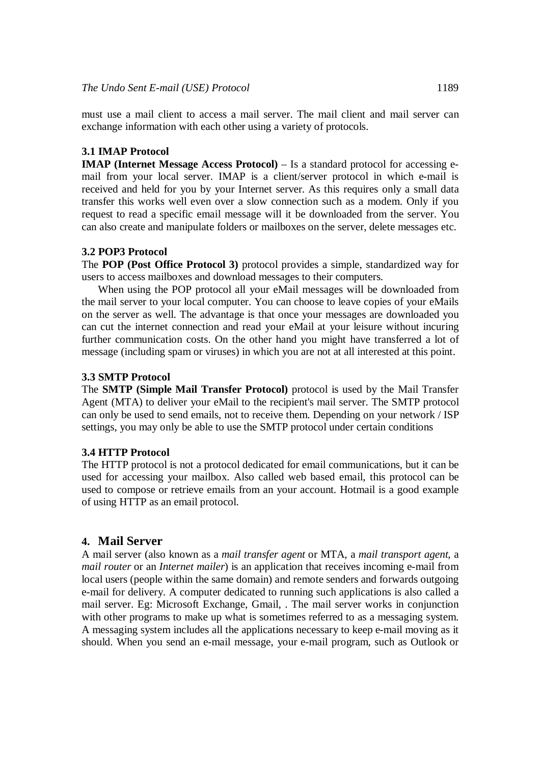must use a mail client to access a mail server. The mail client and mail server can exchange information with each other using a variety of protocols.

#### **3.1 IMAP Protocol**

**IMAP (Internet Message Access Protocol)** – Is a standard protocol for accessing email from your local server. IMAP is a client/server protocol in which e-mail is received and held for you by your Internet server. As this requires only a small data transfer this works well even over a slow connection such as a modem. Only if you request to read a specific email message will it be downloaded from the server. You can also create and manipulate folders or mailboxes on the server, delete messages etc.

#### **3.2 POP3 Protocol**

The **POP (Post Office Protocol 3)** protocol provides a simple, standardized way for users to access mailboxes and download messages to their computers.

When using the POP protocol all your eMail messages will be downloaded from the mail server to your local computer. You can choose to leave copies of your eMails on the server as well. The advantage is that once your messages are downloaded you can cut the internet connection and read your eMail at your leisure without incuring further communication costs. On the other hand you might have transferred a lot of message (including spam or viruses) in which you are not at all interested at this point.

#### **3.3 SMTP Protocol**

The **SMTP (Simple Mail Transfer Protocol)** protocol is used by the Mail Transfer Agent (MTA) to deliver your eMail to the recipient's mail server. The SMTP protocol can only be used to send emails, not to receive them. Depending on your network / ISP settings, you may only be able to use the SMTP protocol under certain conditions

#### **3.4 HTTP Protocol**

The HTTP protocol is not a protocol dedicated for email communications, but it can be used for accessing your mailbox. Also called web based email, this protocol can be used to compose or retrieve emails from an your account. Hotmail is a good example of using HTTP as an email protocol.

## **4. Mail Server**

A mail server (also known as a *mail transfer agent* or MTA, a *mail transport agent*, a *mail router* or an *Internet mailer*) is an application that receives incoming e-mail from local users (people within the same domain) and remote senders and forwards outgoing e-mail for delivery. A computer dedicated to running such applications is also called a mail server. Eg: Microsoft Exchange, Gmail, . The mail server works in conjunction with other programs to make up what is sometimes referred to as a messaging system. A messaging system includes all the applications necessary to keep e-mail moving as it should. When you send an e-mail message, your e-mail program, such as Outlook or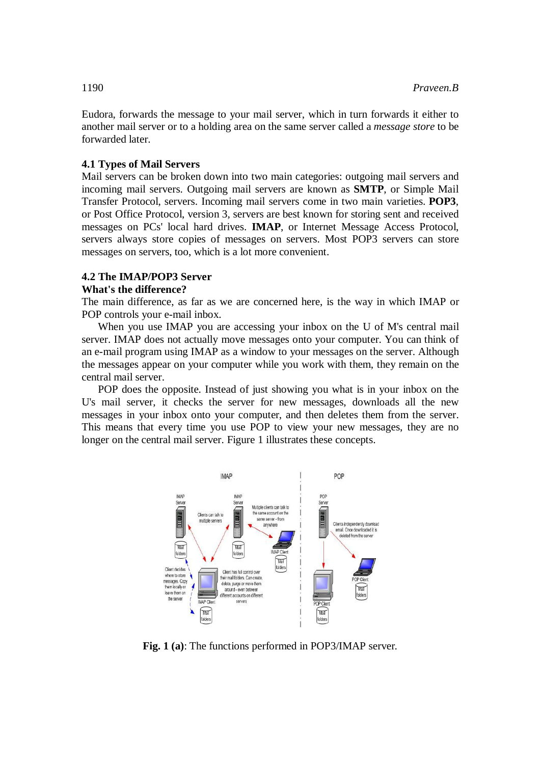Eudora, forwards the message to your mail server, which in turn forwards it either to another mail server or to a holding area on the same server called a *message store* to be forwarded later.

### **4.1 Types of Mail Servers**

Mail servers can be broken down into two main categories: outgoing mail servers and incoming mail servers. Outgoing mail servers are known as **SMTP**, or Simple Mail Transfer Protocol, servers. Incoming mail servers come in two main varieties. **POP3**, or Post Office Protocol, version 3, servers are best known for storing sent and received messages on PCs' local hard drives. **IMAP**, or Internet Message Access Protocol, servers always store copies of messages on servers. Most POP3 servers can store messages on servers, too, which is a lot more convenient.

### **4.2 The IMAP/POP3 Server**

### **What's the difference?**

The main difference, as far as we are concerned here, is the way in which IMAP or POP controls your e-mail inbox.

When you use IMAP you are accessing your inbox on the U of M's central mail server. IMAP does not actually move messages onto your computer. You can think of an e-mail program using IMAP as a window to your messages on the server. Although the messages appear on your computer while you work with them, they remain on the central mail server.

POP does the opposite. Instead of just showing you what is in your inbox on the U's mail server, it checks the server for new messages, downloads all the new messages in your inbox onto your computer, and then deletes them from the server. This means that every time you use POP to view your new messages, they are no longer on the central mail server. Figure 1 illustrates these concepts.



**Fig. 1 (a)**: The functions performed in POP3/IMAP server.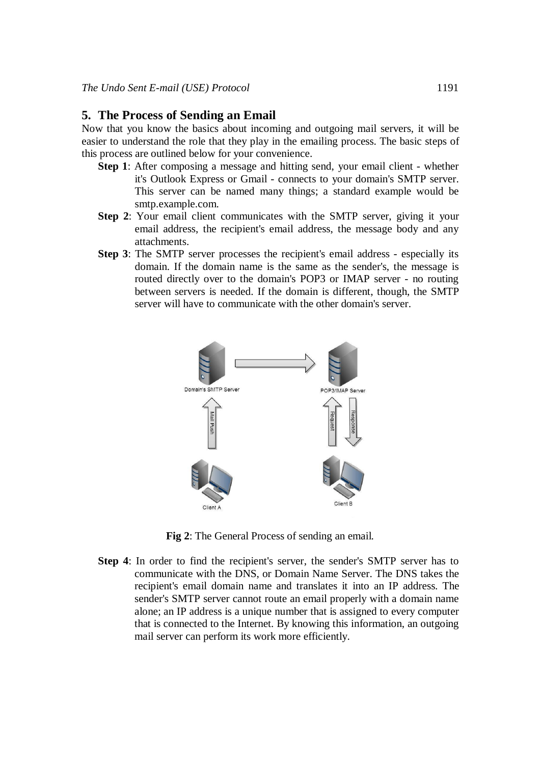#### **5. The Process of Sending an Email**

Now that you know the basics about incoming and outgoing mail servers, it will be easier to understand the role that they play in the emailing process. The basic steps of this process are outlined below for your convenience.

- **Step 1**: After composing a message and hitting send, your email client whether it's Outlook Express or Gmail - connects to your domain's SMTP server. This server can be named many things; a standard example would be smtp.example.com.
- **Step 2**: Your email client communicates with the SMTP server, giving it your email address, the recipient's email address, the message body and any attachments.
- **Step 3**: The SMTP server processes the recipient's email address especially its domain. If the domain name is the same as the sender's, the message is routed directly over to the domain's POP3 or IMAP server - no routing between servers is needed. If the domain is different, though, the SMTP server will have to communicate with the other domain's server.



**Fig 2**: The General Process of sending an email.

**Step 4**: In order to find the recipient's server, the sender's SMTP server has to communicate with the DNS, or Domain Name Server. The DNS takes the recipient's email domain name and translates it into an IP address. The sender's SMTP server cannot route an email properly with a domain name alone; an IP address is a unique number that is assigned to every computer that is connected to the Internet. By knowing this information, an outgoing mail server can perform its work more efficiently.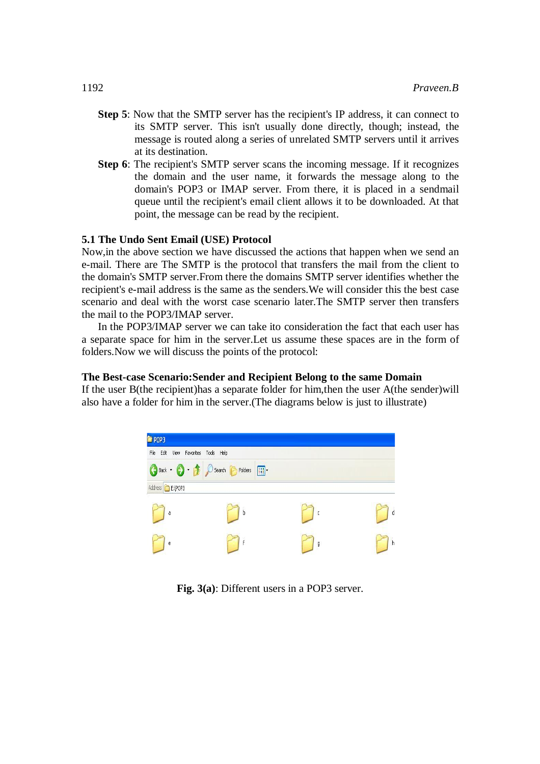- **Step 5**: Now that the SMTP server has the recipient's IP address, it can connect to its SMTP server. This isn't usually done directly, though; instead, the message is routed along a series of unrelated SMTP servers until it arrives at its destination.
- **Step 6**: The recipient's SMTP server scans the incoming message. If it recognizes the domain and the user name, it forwards the message along to the domain's POP3 or IMAP server. From there, it is placed in a sendmail queue until the recipient's email client allows it to be downloaded. At that point, the message can be read by the recipient.

### **5.1 The Undo Sent Email (USE) Protocol**

Now,in the above section we have discussed the actions that happen when we send an e-mail. There are The SMTP is the protocol that transfers the mail from the client to the domain's SMTP server.From there the domains SMTP server identifies whether the recipient's e-mail address is the same as the senders.We will consider this the best case scenario and deal with the worst case scenario later.The SMTP server then transfers the mail to the POP3/IMAP server.

In the POP3/IMAP server we can take ito consideration the fact that each user has a separate space for him in the server.Let us assume these spaces are in the form of folders.Now we will discuss the points of the protocol:

#### **The Best-case Scenario:Sender and Recipient Belong to the same Domain**

If the user B(the recipient)has a separate folder for him,then the user A(the sender)will also have a folder for him in the server.(The diagrams below is just to illustrate)



**Fig. 3(a)**: Different users in a POP3 server.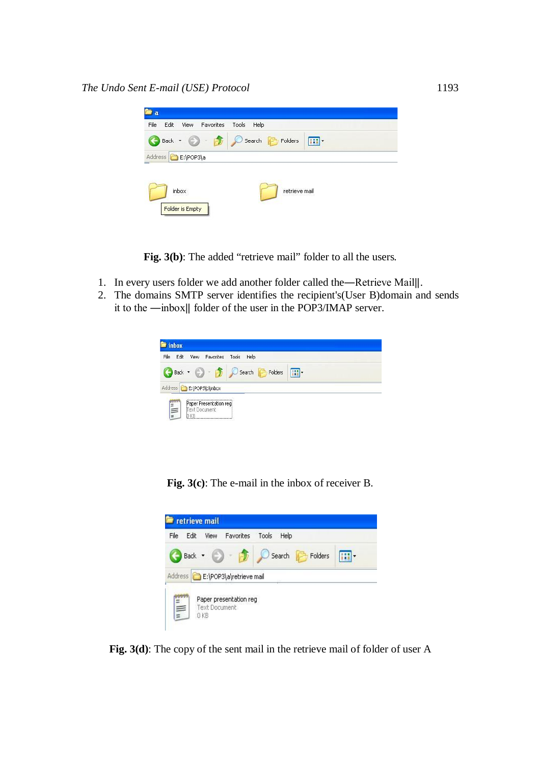| Search <b>P</b> Folders<br>$Back - 5$<br>$\mathbf{H}$ |
|-------------------------------------------------------|
|                                                       |
| Address E:\POP3\a                                     |

Fig. 3(b): The added "retrieve mail" folder to all the users.

- 1. In every users folder we add another folder called the―Retrieve Mail‖.
- 2. The domains SMTP server identifies the recipient's(User B)domain and sends it to the ―inbox‖ folder of the user in the POP3/IMAP server.

|                         | View Favorites | Tools Help                    |                |  |
|-------------------------|----------------|-------------------------------|----------------|--|
|                         |                | Back + C + D Search C Folders | $\blacksquare$ |  |
| Address E:\POP3\b\inbox |                |                               |                |  |

**Fig. 3(c)**: The e-mail in the inbox of receiver B.



**Fig. 3(d)**: The copy of the sent mail in the retrieve mail of folder of user A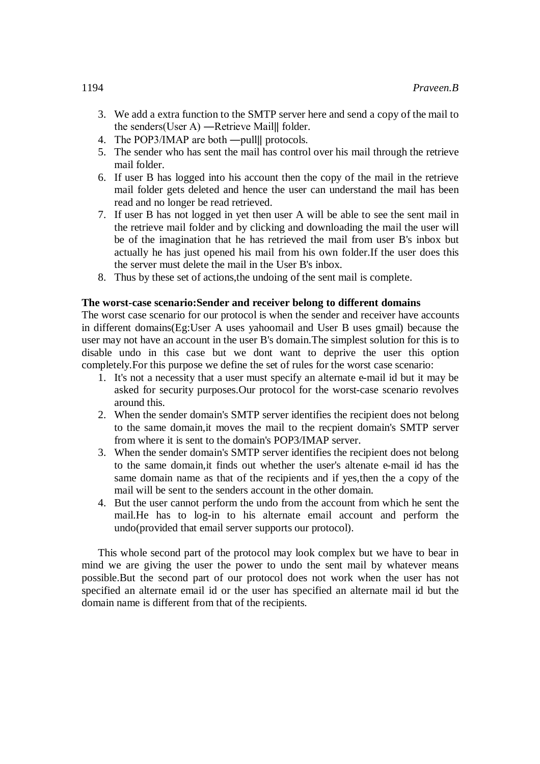- 3. We add a extra function to the SMTP server here and send a copy of the mail to the senders(User A) ―Retrieve Mail‖ folder.
- 4. The POP3/IMAP are both —pulll protocols.
- 5. The sender who has sent the mail has control over his mail through the retrieve mail folder.
- 6. If user B has logged into his account then the copy of the mail in the retrieve mail folder gets deleted and hence the user can understand the mail has been read and no longer be read retrieved.
- 7. If user B has not logged in yet then user A will be able to see the sent mail in the retrieve mail folder and by clicking and downloading the mail the user will be of the imagination that he has retrieved the mail from user B's inbox but actually he has just opened his mail from his own folder.If the user does this the server must delete the mail in the User B's inbox.
- 8. Thus by these set of actions,the undoing of the sent mail is complete.

### **The worst-case scenario:Sender and receiver belong to different domains**

The worst case scenario for our protocol is when the sender and receiver have accounts in different domains(Eg:User A uses yahoomail and User B uses gmail) because the user may not have an account in the user B's domain.The simplest solution for this is to disable undo in this case but we dont want to deprive the user this option completely.For this purpose we define the set of rules for the worst case scenario:

- 1. It's not a necessity that a user must specify an alternate e-mail id but it may be asked for security purposes.Our protocol for the worst-case scenario revolves around this.
- 2. When the sender domain's SMTP server identifies the recipient does not belong to the same domain,it moves the mail to the recpient domain's SMTP server from where it is sent to the domain's POP3/IMAP server.
- 3. When the sender domain's SMTP server identifies the recipient does not belong to the same domain,it finds out whether the user's altenate e-mail id has the same domain name as that of the recipients and if yes,then the a copy of the mail will be sent to the senders account in the other domain.
- 4. But the user cannot perform the undo from the account from which he sent the mail.He has to log-in to his alternate email account and perform the undo(provided that email server supports our protocol).

This whole second part of the protocol may look complex but we have to bear in mind we are giving the user the power to undo the sent mail by whatever means possible.But the second part of our protocol does not work when the user has not specified an alternate email id or the user has specified an alternate mail id but the domain name is different from that of the recipients.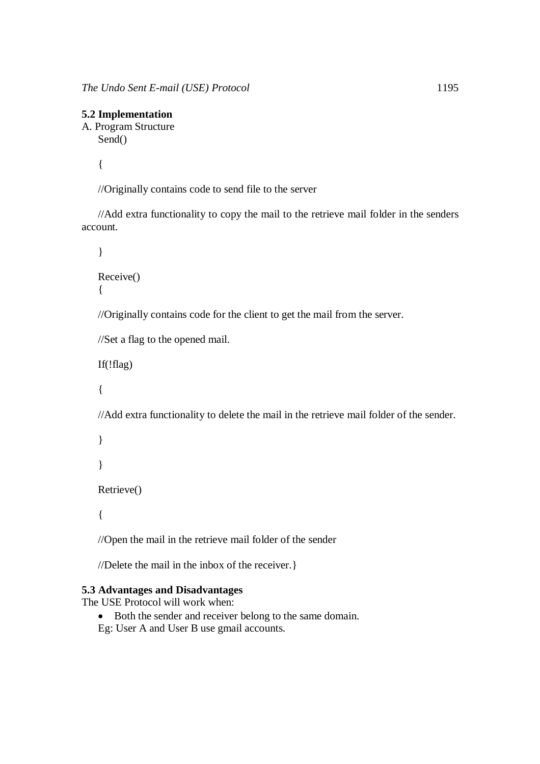## **5.2 Implementation**

A. Program Structure Send()

{

//Originally contains code to send file to the server

//Add extra functionality to copy the mail to the retrieve mail folder in the senders account.

```
}
```

```
Receive()
{
```
//Originally contains code for the client to get the mail from the server.

//Set a flag to the opened mail.

If(!flag)

{

//Add extra functionality to delete the mail in the retrieve mail folder of the sender.

```
}
}
Retrieve()
```
{

//Open the mail in the retrieve mail folder of the sender

//Delete the mail in the inbox of the receiver.}

## **5.3 Advantages and Disadvantages**

The USE Protocol will work when:

• Both the sender and receiver belong to the same domain. Eg: User A and User B use gmail accounts.